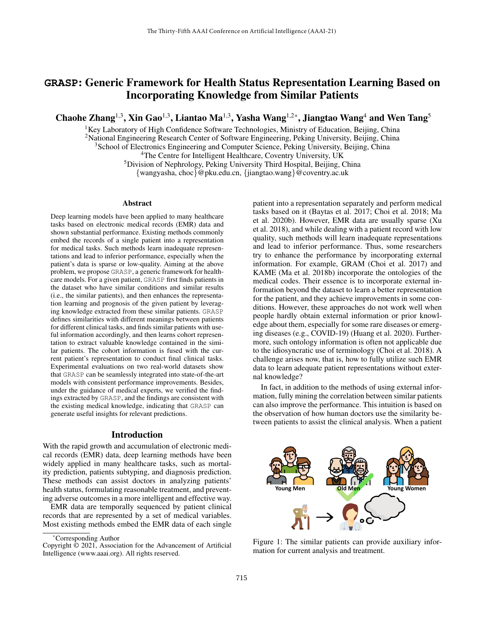# **GRASP**: Generic Framework for Health Status Representation Learning Based on Incorporating Knowledge from Similar Patients

Chaohe Zhang<sup>1,3</sup>, Xin Gao<sup>1,3</sup>, Liantao Ma<sup>1,3</sup>, Yasha Wang<sup>1,2\*</sup>, Jiangtao Wang<sup>4</sup> and Wen Tang<sup>5</sup>

 ${}^{1}$ Key Laboratory of High Confidence Software Technologies, Ministry of Education, Beijing, China <sup>2</sup>National Engineering Research Center of Software Engineering, Peking University, Beijing, China

<sup>3</sup> School of Electronics Engineering and Computer Science, Peking University, Beijing, China

<sup>4</sup>The Centre for Intelligent Healthcare, Coventry University, UK

<sup>5</sup>Division of Nephrology, Peking University Third Hospital, Beijing, China

{wangyasha, choc}@pku.edu.cn, {jiangtao.wang}@coventry.ac.uk

#### **Abstract**

Deep learning models have been applied to many healthcare tasks based on electronic medical records (EMR) data and shown substantial performance. Existing methods commonly embed the records of a single patient into a representation for medical tasks. Such methods learn inadequate representations and lead to inferior performance, especially when the patient's data is sparse or low-quality. Aiming at the above problem, we propose GRASP, a generic framework for healthcare models. For a given patient, GRASP first finds patients in the dataset who have similar conditions and similar results (i.e., the similar patients), and then enhances the representation learning and prognosis of the given patient by leveraging knowledge extracted from these similar patients. GRASP defines similarities with different meanings between patients for different clinical tasks, and finds similar patients with useful information accordingly, and then learns cohort representation to extract valuable knowledge contained in the similar patients. The cohort information is fused with the current patient's representation to conduct final clinical tasks. Experimental evaluations on two real-world datasets show that GRASP can be seamlessly integrated into state-of-the-art models with consistent performance improvements. Besides, under the guidance of medical experts, we verified the findings extracted by GRASP, and the findings are consistent with the existing medical knowledge, indicating that GRASP can generate useful insights for relevant predictions.

#### Introduction

With the rapid growth and accumulation of electronic medical records (EMR) data, deep learning methods have been widely applied in many healthcare tasks, such as mortality prediction, patients subtyping, and diagnosis prediction. These methods can assist doctors in analyzing patients' health status, formulating reasonable treatment, and preventing adverse outcomes in a more intelligent and effective way.

EMR data are temporally sequenced by patient clinical records that are represented by a set of medical variables. Most existing methods embed the EMR data of each single

\*Corresponding Author

Copyright © 2021, Association for the Advancement of Artificial Intelligence (www.aaai.org). All rights reserved.

patient into a representation separately and perform medical tasks based on it (Baytas et al. 2017; Choi et al. 2018; Ma et al. 2020b). However, EMR data are usually sparse (Xu et al. 2018), and while dealing with a patient record with low quality, such methods will learn inadequate representations and lead to inferior performance. Thus, some researchers try to enhance the performance by incorporating external information. For example, GRAM (Choi et al. 2017) and KAME (Ma et al. 2018b) incorporate the ontologies of the medical codes. Their essence is to incorporate external information beyond the dataset to learn a better representation for the patient, and they achieve improvements in some conditions. However, these approaches do not work well when people hardly obtain external information or prior knowledge about them, especially for some rare diseases or emerging diseases (e.g., COVID-19) (Huang et al. 2020). Furthermore, such ontology information is often not applicable due to the idiosyncratic use of terminology (Choi et al. 2018). A challenge arises now, that is, how to fully utilize such EMR data to learn adequate patient representations without external knowledge?

In fact, in addition to the methods of using external information, fully mining the correlation between similar patients can also improve the performance. This intuition is based on the observation of how human doctors use the similarity between patients to assist the clinical analysis. When a patient



Figure 1: The similar patients can provide auxiliary information for current analysis and treatment.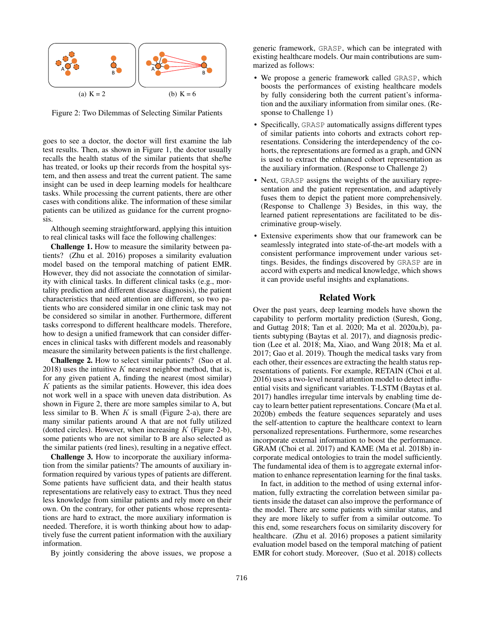

Figure 2: Two Dilemmas of Selecting Similar Patients

goes to see a doctor, the doctor will first examine the lab test results. Then, as shown in Figure 1, the doctor usually recalls the health status of the similar patients that she/he has treated, or looks up their records from the hospital system, and then assess and treat the current patient. The same insight can be used in deep learning models for healthcare tasks. While processing the current patients, there are other cases with conditions alike. The information of these similar patients can be utilized as guidance for the current prognosis.

Although seeming straightforward, applying this intuition to real clinical tasks will face the following challenges:

Challenge 1. How to measure the similarity between patients? (Zhu et al. 2016) proposes a similarity evaluation model based on the temporal matching of patient EMR. However, they did not associate the connotation of similarity with clinical tasks. In different clinical tasks (e.g., mortality prediction and different disease diagnosis), the patient characteristics that need attention are different, so two patients who are considered similar in one clinic task may not be considered so similar in another. Furthermore, different tasks correspond to different healthcare models. Therefore, how to design a unified framework that can consider differences in clinical tasks with different models and reasonably measure the similarity between patients is the first challenge.

Challenge 2. How to select similar patients? (Suo et al. 2018) uses the intuitive  $K$  nearest neighbor method, that is, for any given patient A, finding the nearest (most similar)  $K$  patients as the similar patients. However, this idea does not work well in a space with uneven data distribution. As shown in Figure 2, there are more samples similar to A, but less similar to B. When  $K$  is small (Figure 2-a), there are many similar patients around A that are not fully utilized (dotted circles). However, when increasing  $K$  (Figure 2-b), some patients who are not similar to B are also selected as the similar patients (red lines), resulting in a negative effect.

Challenge 3. How to incorporate the auxiliary information from the similar patients? The amounts of auxiliary information required by various types of patients are different. Some patients have sufficient data, and their health status representations are relatively easy to extract. Thus they need less knowledge from similar patients and rely more on their own. On the contrary, for other patients whose representations are hard to extract, the more auxiliary information is needed. Therefore, it is worth thinking about how to adaptively fuse the current patient information with the auxiliary information.

By jointly considering the above issues, we propose a

generic framework, GRASP, which can be integrated with existing healthcare models. Our main contributions are summarized as follows:

- We propose a generic framework called GRASP, which boosts the performances of existing healthcare models by fully considering both the current patient's information and the auxiliary information from similar ones. (Response to Challenge 1)
- Specifically, GRASP automatically assigns different types of similar patients into cohorts and extracts cohort representations. Considering the interdependency of the cohorts, the representations are formed as a graph, and GNN is used to extract the enhanced cohort representation as the auxiliary information. (Response to Challenge 2)
- Next, GRASP assigns the weights of the auxiliary representation and the patient representation, and adaptively fuses them to depict the patient more comprehensively. (Response to Challenge 3) Besides, in this way, the learned patient representations are facilitated to be discriminative group-wisely.
- Extensive experiments show that our framework can be seamlessly integrated into state-of-the-art models with a consistent performance improvement under various settings. Besides, the findings discovered by GRASP are in accord with experts and medical knowledge, which shows it can provide useful insights and explanations.

### Related Work

Over the past years, deep learning models have shown the capability to perform mortality prediction (Suresh, Gong, and Guttag 2018; Tan et al. 2020; Ma et al. 2020a,b), patients subtyping (Baytas et al. 2017), and diagnosis prediction (Lee et al. 2018; Ma, Xiao, and Wang 2018; Ma et al. 2017; Gao et al. 2019). Though the medical tasks vary from each other, their essences are extracting the health status representations of patients. For example, RETAIN (Choi et al. 2016) uses a two-level neural attention model to detect influential visits and significant variables. T-LSTM (Baytas et al. 2017) handles irregular time intervals by enabling time decay to learn better patient representations. Concare (Ma et al. 2020b) embeds the feature sequences separately and uses the self-attention to capture the healthcare context to learn personalized representations. Furthermore, some researches incorporate external information to boost the performance. GRAM (Choi et al. 2017) and KAME (Ma et al. 2018b) incorporate medical ontologies to train the model sufficiently. The fundamental idea of them is to aggregate external information to enhance representation learning for the final tasks.

In fact, in addition to the method of using external information, fully extracting the correlation between similar patients inside the dataset can also improve the performance of the model. There are some patients with similar status, and they are more likely to suffer from a similar outcome. To this end, some researchers focus on similarity discovery for healthcare. (Zhu et al. 2016) proposes a patient similarity evaluation model based on the temporal matching of patient EMR for cohort study. Moreover, (Suo et al. 2018) collects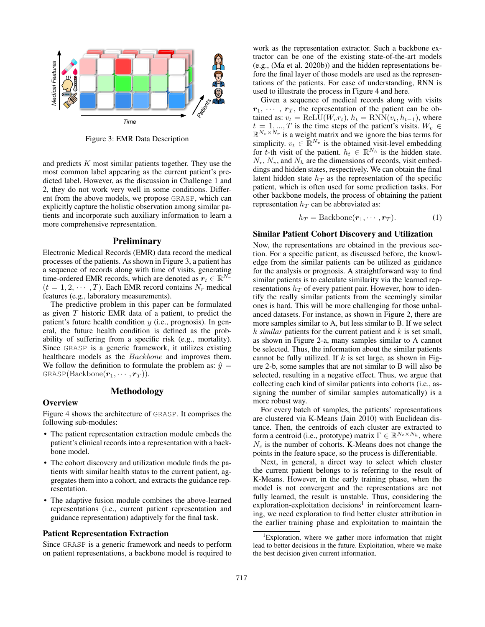

Figure 3: EMR Data Description

and predicts  $K$  most similar patients together. They use the most common label appearing as the current patient's predicted label. However, as the discussion in Challenge 1 and 2, they do not work very well in some conditions. Different from the above models, we propose GRASP, which can explicitly capture the holistic observation among similar patients and incorporate such auxiliary information to learn a more comprehensive representation.

### **Preliminary**

Electronic Medical Records (EMR) data record the medical processes of the patients. As shown in Figure 3, a patient has a sequence of records along with time of visits, generating time-ordered EMR records, which are denoted as  $r_t \in \mathbb{R}^{N_r}$  $(t = 1, 2, \cdots, T)$ . Each EMR record contains  $N_r$  medical features (e.g., laboratory measurements).

The predictive problem in this paper can be formulated as given T historic EMR data of a patient, to predict the patient's future health condition y (i.e., prognosis). In general, the future health condition is defined as the probability of suffering from a specific risk (e.g., mortality). Since GRASP is a generic framework, it utilizes existing healthcare models as the Backbone and improves them. We follow the definition to formulate the problem as:  $\hat{y} =$  $GRASP(Backbone(r_1, \cdots, r_T)).$ 

# Methodology

#### **Overview**

Figure 4 shows the architecture of GRASP. It comprises the following sub-modules:

- The patient representation extraction module embeds the patient's clinical records into a representation with a backbone model.
- The cohort discovery and utilization module finds the patients with similar health status to the current patient, aggregates them into a cohort, and extracts the guidance representation.
- The adaptive fusion module combines the above-learned representations (i.e., current patient representation and guidance representation) adaptively for the final task.

# Patient Representation Extraction

Since GRASP is a generic framework and needs to perform on patient representations, a backbone model is required to work as the representation extractor. Such a backbone extractor can be one of the existing state-of-the-art models (e.g., (Ma et al. 2020b)) and the hidden representations before the final layer of those models are used as the representations of the patients. For ease of understanding, RNN is used to illustrate the process in Figure 4 and here.

Given a sequence of medical records along with visits  $r_1, \cdots, r_T$ , the representation of the patient can be obtained as:  $v_t = \text{ReLU}(W_v r_t)$ ,  $h_t = \text{RNN}(v_t, h_{t-1})$ , where  $t = 1, ..., T$  is the time steps of the patient's visits.  $W_v \in$  $\mathbb{R}^{N_v \times N_r}$  is a weight matrix and we ignore the bias terms for simplicity.  $v_t \in \mathbb{R}^{N_v}$  is the obtained visit-level embedding for t-th visit of the patient.  $h_t \in \mathbb{R}^{N_h}$  is the hidden state.  $N_r$ ,  $N_v$ , and  $N_h$  are the dimensions of records, visit embeddings and hidden states, respectively. We can obtain the final latent hidden state  $h_T$  as the representation of the specific patient, which is often used for some prediction tasks. For other backbone models, the process of obtaining the patient representation  $h_T$  can be abbreviated as:

$$
h_T = \text{Backbone}(\mathbf{r}_1, \cdots, \mathbf{r}_T). \tag{1}
$$

#### Similar Patient Cohort Discovery and Utilization

Now, the representations are obtained in the previous section. For a specific patient, as discussed before, the knowledge from the similar patients can be utilized as guidance for the analysis or prognosis. A straightforward way to find similar patients is to calculate similarity via the learned representations  $h_T$  of every patient pair. However, how to identify the really similar patients from the seemingly similar ones is hard. This will be more challenging for those unbalanced datasets. For instance, as shown in Figure 2, there are more samples similar to A, but less similar to B. If we select k *similar* patients for the current patient and k is set small, as shown in Figure 2-a, many samples similar to A cannot be selected. Thus, the information about the similar patients cannot be fully utilized. If  $k$  is set large, as shown in Figure 2-b, some samples that are not similar to B will also be selected, resulting in a negative effect. Thus, we argue that collecting each kind of similar patients into cohorts (i.e., assigning the number of similar samples automatically) is a more robust way.

For every batch of samples, the patients' representations are clustered via K-Means (Jain 2010) with Euclidean distance. Then, the centroids of each cluster are extracted to form a centroid (i.e., prototype) matrix  $\Gamma \in \mathbb{R}^{N_c \times N_h}$ , where  $N_c$  is the number of cohorts. K-Means does not change the points in the feature space, so the process is differentiable.

Next, in general, a direct way to select which cluster the current patient belongs to is referring to the result of K-Means. However, in the early training phase, when the model is not convergent and the representations are not fully learned, the result is unstable. Thus, considering the exploration-exploitation decisions<sup>1</sup> in reinforcement learning, we need exploration to find better cluster attribution in the earlier training phase and exploitation to maintain the

<sup>&</sup>lt;sup>1</sup>Exploration, where we gather more information that might lead to better decisions in the future. Exploitation, where we make the best decision given current information.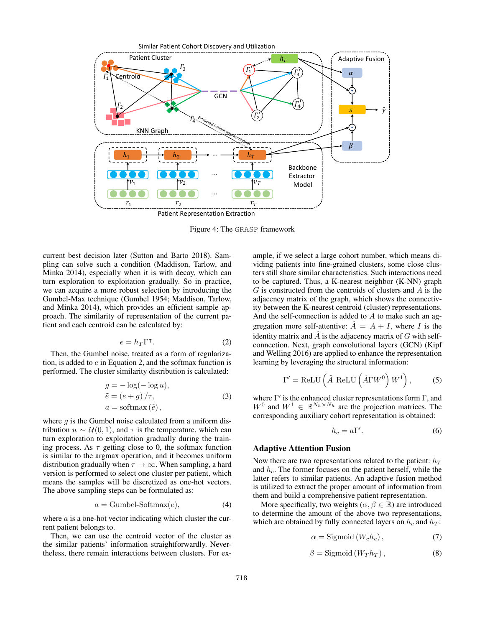

Figure 4: The GRASP framework

current best decision later (Sutton and Barto 2018). Sampling can solve such a condition (Maddison, Tarlow, and Minka 2014), especially when it is with decay, which can turn exploration to exploitation gradually. So in practice, we can acquire a more robust selection by introducing the Gumbel-Max technique (Gumbel 1954; Maddison, Tarlow, and Minka 2014), which provides an efficient sample approach. The similarity of representation of the current patient and each centroid can be calculated by:

$$
e = h_T \Gamma^{\mathsf{T}}.
$$
 (2)

Then, the Gumbel noise, treated as a form of regularization, is added to  $e$  in Equation 2, and the softmax function is performed. The cluster similarity distribution is calculated:

$$
g = -\log(-\log u),
$$
  
\n
$$
\tilde{e} = (e+g)/\tau,
$$
  
\n
$$
a = \text{softmax}(\tilde{e}),
$$
\n(3)

where  $g$  is the Gumbel noise calculated from a uniform distribution  $u \sim U(0, 1)$ , and  $\tau$  is the temperature, which can turn exploration to exploitation gradually during the training process. As  $\tau$  getting close to 0, the softmax function is similar to the argmax operation, and it becomes uniform distribution gradually when  $\tau \to \infty$ . When sampling, a hard version is performed to select one cluster per patient, which means the samples will be discretized as one-hot vectors. The above sampling steps can be formulated as:

$$
a = \text{Gumbel-Softmax}(e),\tag{4}
$$

where  $a$  is a one-hot vector indicating which cluster the current patient belongs to.

Then, we can use the centroid vector of the cluster as the similar patients' information straightforwardly. Nevertheless, there remain interactions between clusters. For example, if we select a large cohort number, which means dividing patients into fine-grained clusters, some close clusters still share similar characteristics. Such interactions need to be captured. Thus, a K-nearest neighbor (K-NN) graph  $G$  is constructed from the centroids of clusters and  $A$  is the adjacency matrix of the graph, which shows the connectivity between the K-nearest centroid (cluster) representations. And the self-connection is added to A to make such an aggregation more self-attentive:  $\ddot{A} = A + I$ , where I is the identity matrix and  $\hat{A}$  is the adjacency matrix of G with selfconnection. Next, graph convolutional layers (GCN) (Kipf and Welling 2016) are applied to enhance the representation learning by leveraging the structural information:

$$
\Gamma' = \text{ReLU}\left(\hat{A} \text{ ReLU}\left(\hat{A}\Gamma W^0\right)W^1\right),\tag{5}
$$

where  $\Gamma'$  is the enhanced cluster representations form  $\Gamma$ , and  $W^0$  and  $W^1 \in \mathbb{R}^{N_h \times N_h}$  are the projection matrices. The corresponding auxiliary cohort representation is obtained:

$$
h_c = a\Gamma'.\tag{6}
$$

#### Adaptive Attention Fusion

Now there are two representations related to the patient:  $h_T$ and  $h_c$ . The former focuses on the patient herself, while the latter refers to similar patients. An adaptive fusion method is utilized to extract the proper amount of information from them and build a comprehensive patient representation.

More specifically, two weights ( $\alpha, \beta \in \mathbb{R}$ ) are introduced to determine the amount of the above two representations, which are obtained by fully connected layers on  $h_c$  and  $h_T$ :

$$
\alpha = \text{Sigmoid}\left(W_c h_c\right),\tag{7}
$$

$$
\beta = \text{Sigmoid}(W_T h_T), \qquad (8)
$$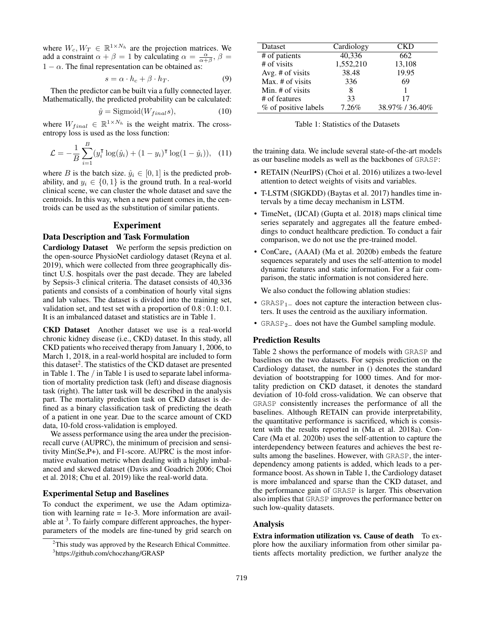where  $W_c, W_T \in \mathbb{R}^{1 \times N_h}$  are the projection matrices. We add a constraint  $\alpha + \beta = 1$  by calculating  $\alpha = \frac{\alpha}{\alpha + \beta}, \beta =$  $1 - \alpha$ . The final representation can be obtained as:

$$
s = \alpha \cdot h_c + \beta \cdot h_T. \tag{9}
$$

Then the predictor can be built via a fully connected layer. Mathematically, the predicted probability can be calculated:

$$
\hat{y} = \text{Sigmoid}(W_{final}s),\tag{10}
$$

where  $W_{final} \in \mathbb{R}^{1 \times N_h}$  is the weight matrix. The crossentropy loss is used as the loss function:

$$
\mathcal{L} = -\frac{1}{B} \sum_{i=1}^{B} (y_i^{\mathsf{T}} \log(\hat{y}_i) + (1 - y_i)^{\mathsf{T}} \log(1 - \hat{y}_i)), \quad (11)
$$

where B is the batch size.  $\hat{y}_i \in [0, 1]$  is the predicted probability, and  $y_i \in \{0, 1\}$  is the ground truth. In a real-world clinical scene, we can cluster the whole dataset and save the centroids. In this way, when a new patient comes in, the centroids can be used as the substitution of similar patients.

# Experiment

#### Data Description and Task Formulation

Cardiology Dataset We perform the sepsis prediction on the open-source PhysioNet cardiology dataset (Reyna et al. 2019), which were collected from three geographically distinct U.S. hospitals over the past decade. They are labeled by Sepsis-3 clinical criteria. The dataset consists of 40,336 patients and consists of a combination of hourly vital signs and lab values. The dataset is divided into the training set, validation set, and test set with a proportion of 0.8 : 0.1: 0.1. It is an imbalanced dataset and statistics are in Table 1.

CKD Dataset Another dataset we use is a real-world chronic kidney disease (i.e., CKD) dataset. In this study, all CKD patients who received therapy from January 1, 2006, to March 1, 2018, in a real-world hospital are included to form this dataset<sup>2</sup>. The statistics of the CKD dataset are presented in Table 1. The / in Table 1 is used to separate label information of mortality prediction task (left) and disease diagnosis task (right). The latter task will be described in the analysis part. The mortality prediction task on CKD dataset is defined as a binary classification task of predicting the death of a patient in one year. Due to the scarce amount of CKD data, 10-fold cross-validation is employed.

We assess performance using the area under the precisionrecall curve (AUPRC), the minimum of precision and sensitivity Min(Se,P+), and F1-score. AUPRC is the most informative evaluation metric when dealing with a highly imbalanced and skewed dataset (Davis and Goadrich 2006; Choi et al. 2018; Chu et al. 2019) like the real-world data.

#### Experimental Setup and Baselines

To conduct the experiment, we use the Adam optimization with learning rate = 1e-3. More information are available at  $3$ . To fairly compare different approaches, the hyperparameters of the models are fine-tuned by grid search on

| Dataset              | Cardiology | CKD           |
|----------------------|------------|---------------|
| # of patients        | 40,336     | 662           |
| # of visits          | 1,552,210  | 13,108        |
| Avg. # of visits     | 38.48      | 19.95         |
| Max. # of visits     | 336        | 69            |
| Min. $#$ of visits   | 8          |               |
| # of features        | 33         | 17            |
| % of positive labels | 7.26%      | 38.97%/36.40% |

Table 1: Statistics of the Datasets

the training data. We include several state-of-the-art models as our baseline models as well as the backbones of GRASP:

- RETAIN (NeurIPS) (Choi et al. 2016) utilizes a two-level attention to detect weights of visits and variables.
- T-LSTM (SIGKDD) (Baytas et al. 2017) handles time intervals by a time decay mechanism in LSTM.
- TimeNet<sup>∗</sup> (IJCAI) (Gupta et al. 2018) maps clinical time series separately and aggregates all the feature embeddings to conduct healthcare prediction. To conduct a fair comparison, we do not use the pre-trained model.
- ConCare<sup>∗</sup> (AAAI) (Ma et al. 2020b) embeds the feature sequences separately and uses the self-attention to model dynamic features and static information. For a fair comparison, the static information is not considered here.

We also conduct the following ablation studies:

- GRASP<sub>1</sub> $\equiv$  does not capture the interaction between clusters. It uses the centroid as the auxiliary information.
- GRASP<sub>2</sub> $-$  does not have the Gumbel sampling module.

#### Prediction Results

Table 2 shows the performance of models with GRASP and baselines on the two datasets. For sepsis prediction on the Cardiology dataset, the number in () denotes the standard deviation of bootstrapping for 1000 times. And for mortality prediction on CKD dataset, it denotes the standard deviation of 10-fold cross-validation. We can observe that GRASP consistently increases the performance of all the baselines. Although RETAIN can provide interpretability, the quantitative performance is sacrificed, which is consistent with the results reported in (Ma et al. 2018a). Con-Care (Ma et al. 2020b) uses the self-attention to capture the interdependency between features and achieves the best results among the baselines. However, with GRASP, the interdependency among patients is added, which leads to a performance boost. As shown in Table 1, the Cardiology dataset is more imbalanced and sparse than the CKD dataset, and the performance gain of GRASP is larger. This observation also implies that GRASP improves the performance better on such low-quality datasets.

#### Analysis

Extra information utilization vs. Cause of death To explore how the auxiliary information from other similar patients affects mortality prediction, we further analyze the

 $2$ This study was approved by the Research Ethical Committee. 3 https://github.com/choczhang/GRASP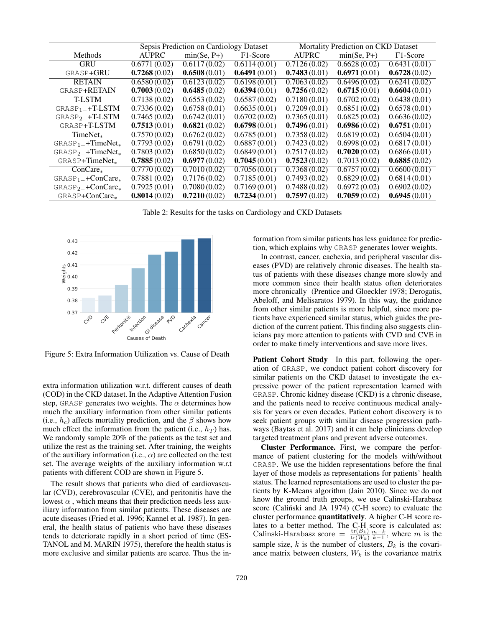|                                | Sepsis Prediction on Cardiology Dataset |               | Mortality Prediction on CKD<br>Dataset |              |                           |                       |
|--------------------------------|-----------------------------------------|---------------|----------------------------------------|--------------|---------------------------|-----------------------|
| Methods                        | <b>AUPRC</b>                            | $min(Se, P+)$ | F1-Score                               | <b>AUPRC</b> | $min(Se, P+)$             | F <sub>1</sub> -Score |
| <b>GRU</b>                     | 0.6771(0.02)                            | 0.6117(0.02)  | 0.6114(0.01)                           | 0.7126(0.02) | 0.6628(0.02)              | 0.6431(0.01)          |
| GRASP+GRU                      | 0.7268(0.02)                            | 0.6508(0.01)  | 0.6491(0.01)                           | 0.7483(0.01) | 0.6971(0.01)              | 0.6728(0.02)          |
| <b>RETAIN</b>                  | 0.6580(0.02)                            | 0.6123(0.02)  | 0.6198(0.01)                           | 0.7063(0.02) | $\overline{0.6496(0.02)}$ | 0.6241(0.02)          |
| <b>GRASP+RETAIN</b>            | 0.7003(0.02)                            | 0.6485(0.02)  | 0.6394(0.01)                           | 0.7256(0.02) | 0.6715(0.01)              | 0.6604(0.01)          |
| <b>T-LSTM</b>                  | 0.7138(0.02)                            | 0.6553(0.02)  | 0.6587(0.02)                           | 0.7180(0.01) | 0.6702(0.02)              | 0.6438(0.01)          |
| $GRASP1$ +T-LSTM               | 0.7336(0.02)                            | 0.6758(0.01)  | 0.6635(0.01)                           | 0.7209(0.01) | 0.6851(0.02)              | 0.6578(0.01)          |
| $GRASP2 + T-LSTM$              | 0.7465(0.02)                            | 0.6742(0.01)  | 0.6702(0.02)                           | 0.7365(0.01) | 0.6825(0.02)              | 0.6636(0.02)          |
| GRASP+T-LSTM                   | 0.7513(0.01)                            | 0.6821(0.02)  | 0.6798(0.01)                           | 0.7496(0.01) | 0.6986(0.02)              | 0.6751(0.01)          |
| TimeNet <sub>*</sub>           | 0.7570(0.02)                            | 0.6762(0.02)  | 0.6785(0.01)                           | 0.7358(0.02) | 0.6819(0.02)              | 0.6504(0.01)          |
| $GRASP1$ +TimeNet <sub>*</sub> | 0.7793(0.02)                            | 0.6791(0.02)  | 0.6887(0.01)                           | 0.7423(0.02) | 0.6998(0.02)              | 0.6817(0.01)          |
| $GRASP_{2-}+TimeNet_*$         | 0.7803(0.02)                            | 0.6850(0.02)  | 0.6849(0.01)                           | 0.7517(0.02) | 0.7020(0.02)              | 0.6866(0.01)          |
| $GRASP + TimeNet_*$            | 0.7885(0.02)                            | 0.6977(0.02)  | 0.7045(0.01)                           | 0.7523(0.02) | 0.7013(0.02)              | 0.6885(0.02)          |
| $ConCare_*$                    | 0.7770(0.02)                            | 0.7010(0.02)  | 0.7056(0.01)                           | 0.7368(0.02) | 0.6757(0.02)              | 0.6600(0.01)          |
| $GRASP1 + ConCare*$            | 0.7881(0.02)                            | 0.7176(0.02)  | 0.7185(0.01)                           | 0.7493(0.02) | 0.6829(0.02)              | 0.6814(0.01)          |
| $GRASP2 + ConCare*$            | 0.7925(0.01)                            | 0.7080(0.02)  | 0.7169(0.01)                           | 0.7488(0.02) | 0.6972(0.02)              | 0.6902(0.02)          |
| $GRASP + ConCare_*$            | 0.8014(0.02)                            | 0.7210(0.02)  | 0.7234(0.01)                           | 0.7597(0.02) | 0.7059(0.02)              | 0.6945(0.01)          |

Table 2: Results for the tasks on Cardiology and CKD Datasets



Figure 5: Extra Information Utilization vs. Cause of Death

extra information utilization w.r.t. different causes of death (COD) in the CKD dataset. In the Adaptive Attention Fusion step, GRASP generates two weights. The  $\alpha$  determines how much the auxiliary information from other similar patients (i.e.,  $h_c$ ) affects mortality prediction, and the  $\beta$  shows how much effect the information from the patient (i.e.,  $h_T$ ) has. We randomly sample 20% of the patients as the test set and utilize the rest as the training set. After training, the weights of the auxiliary information (i.e.,  $\alpha$ ) are collected on the test set. The average weights of the auxiliary information w.r.t patients with different COD are shown in Figure 5.

The result shows that patients who died of cardiovascular (CVD), cerebrovascular (CVE), and peritonitis have the lowest  $\alpha$ , which means that their prediction needs less auxiliary information from similar patients. These diseases are acute diseases (Fried et al. 1996; Kannel et al. 1987). In general, the health status of patients who have these diseases tends to deteriorate rapidly in a short period of time (ES-TANOL and M. MARIN 1975), therefore the health status is more exclusive and similar patients are scarce. Thus the in-

formation from similar patients has less guidance for prediction, which explains why GRASP generates lower weights.

In contrast, cancer, cachexia, and peripheral vascular diseases (PVD) are relatively chronic diseases. The health status of patients with these diseases change more slowly and more common since their health status often deteriorates more chronically (Prentice and Gloeckler 1978; Derogatis, Abeloff, and Melisaratos 1979). In this way, the guidance from other similar patients is more helpful, since more patients have experienced similar status, which guides the prediction of the current patient. This finding also suggests clinicians pay more attention to patients with CVD and CVE in order to make timely interventions and save more lives.

Patient Cohort Study In this part, following the operation of GRASP, we conduct patient cohort discovery for similar patients on the CKD dataset to investigate the expressive power of the patient representation learned with GRASP. Chronic kidney disease (CKD) is a chronic disease, and the patients need to receive continuous medical analysis for years or even decades. Patient cohort discovery is to seek patient groups with similar disease progression pathways (Baytas et al. 2017) and it can help clinicians develop targeted treatment plans and prevent adverse outcomes.

Cluster Performance. First, we compare the performance of patient clustering for the models with/without GRASP. We use the hidden representations before the final layer of those models as representations for patients' health status. The learned representations are used to cluster the patients by K-Means algorithm (Jain 2010). Since we do not know the ground truth groups, we use Calinski-Harabasz score (Caliński and JA 1974) (C-H score) to evaluate the cluster performance quantitatively. A higher C-H score relates to a better method. The C-H score is calculated as: Calinski-Harabasz score =  $\frac{\text{tr}(B_k)}{\text{tr}(W_k)} \frac{m-k}{k-1}$ , where m is the sample size, k is the number of clusters,  $B_k$  is the covariance matrix between clusters,  $W_k$  is the covariance matrix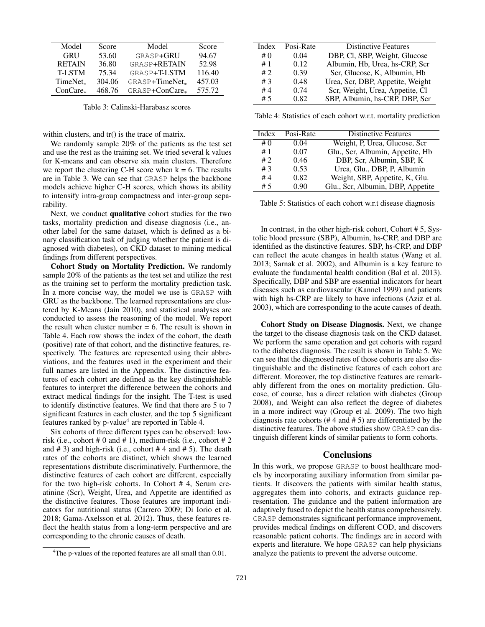| Model                | Score  | Model                      | Score  |
|----------------------|--------|----------------------------|--------|
| <b>GRU</b>           | 53.60  | GRASP+GRU                  | 94.67  |
| <b>RETAIN</b>        | 36.80  | GRASP+RETAIN               | 52.98  |
| <b>T-LSTM</b>        | 75.34  | GRASP+T-LSTM               | 116.40 |
| TimeNet <sub>*</sub> | 304.06 | GRASP+TimeNet <sub>*</sub> | 457.03 |
| ConCare.             | 468.76 | GRASP+ConCare              | 575.72 |

Table 3: Calinski-Harabasz scores

within clusters, and tr() is the trace of matrix.

We randomly sample 20% of the patients as the test set and use the rest as the training set. We tried several k values for K-means and can observe six main clusters. Therefore we report the clustering C-H score when  $k = 6$ . The results are in Table 3. We can see that GRASP helps the backbone models achieve higher C-H scores, which shows its ability to intensify intra-group compactness and inter-group separability.

Next, we conduct qualitative cohort studies for the two tasks, mortality prediction and disease diagnosis (i.e., another label for the same dataset, which is defined as a binary classification task of judging whether the patient is diagnosed with diabetes), on CKD dataset to mining medical findings from different perspectives.

Cohort Study on Mortality Prediction. We randomly sample 20% of the patients as the test set and utilize the rest as the training set to perform the mortality prediction task. In a more concise way, the model we use is GRASP with GRU as the backbone. The learned representations are clustered by K-Means (Jain 2010), and statistical analyses are conducted to assess the reasoning of the model. We report the result when cluster number  $= 6$ . The result is shown in Table 4. Each row shows the index of the cohort, the death (positive) rate of that cohort, and the distinctive features, respectively. The features are represented using their abbreviations, and the features used in the experiment and their full names are listed in the Appendix. The distinctive features of each cohort are defined as the key distinguishable features to interpret the difference between the cohorts and extract medical findings for the insight. The T-test is used to identify distinctive features. We find that there are 5 to 7 significant features in each cluster, and the top 5 significant features ranked by p-value<sup>4</sup> are reported in Table 4.

Six cohorts of three different types can be observed: lowrisk (i.e., cohort  $#0$  and  $#1$ ), medium-risk (i.e., cohort  $#2$ and  $\# 3$ ) and high-risk (i.e., cohort  $\# 4$  and  $\# 5$ ). The death rates of the cohorts are distinct, which shows the learned representations distribute discriminatively. Furthermore, the distinctive features of each cohort are different, especially for the two high-risk cohorts. In Cohort # 4, Serum creatinine (Scr), Weight, Urea, and Appetite are identified as the distinctive features. Those features are important indicators for nutritional status (Carrero 2009; Di Iorio et al. 2018; Gama-Axelsson et al. 2012). Thus, these features reflect the health status from a long-term perspective and are corresponding to the chronic causes of death.

| Index | Posi-Rate | <b>Distinctive Features</b>      |
|-------|-----------|----------------------------------|
|       |           |                                  |
| #0    | 0.04      | DBP, Cl, SBP, Weight, Glucose    |
| #1    | 0.12      | Albumin, Hb, Urea, hs-CRP, Scr   |
| #2    | 0.39      | Scr. Glucose, K. Albumin, Hb     |
| #3    | 0.48      | Urea, Scr, DBP, Appetite, Weight |
| #4    | 0.74      | Scr, Weight, Urea, Appetite, Cl  |
| #5    | 0.82      | SBP, Albumin, hs-CRP, DBP, Scr   |

Table 4: Statistics of each cohort w.r.t. mortality prediction

| Index | Posi-Rate | <b>Distinctive Features</b>       |
|-------|-----------|-----------------------------------|
| #0    | 0.04      | Weight, P. Urea, Glucose, Scr     |
| #1    | 0.07      | Glu., Scr, Albumin, Appetite, Hb  |
| #2    | 0.46      | DBP, Scr. Albumin, SBP, K         |
| #3    | 0.53      | Urea, Glu., DBP, P, Albumin       |
| #4    | 0.82      | Weight, SBP, Appetite, K, Glu.    |
| #5    | 0.90      | Glu., Scr, Albumin, DBP, Appetite |

Table 5: Statistics of each cohort w.r.t disease diagnosis

In contrast, in the other high-risk cohort, Cohort # 5, Systolic blood pressure (SBP), Albumin, hs-CRP, and DBP are identified as the distinctive features. SBP, hs-CRP, and DBP can reflect the acute changes in health status (Wang et al. 2013; Sarnak et al. 2002), and Albumin is a key feature to evaluate the fundamental health condition (Bal et al. 2013). Specifically, DBP and SBP are essential indicators for heart diseases such as cardiovascular (Kannel 1999) and patients with high hs-CRP are likely to have infections (Aziz et al. 2003), which are corresponding to the acute causes of death.

Cohort Study on Disease Diagnosis. Next, we change the target to the disease diagnosis task on the CKD dataset. We perform the same operation and get cohorts with regard to the diabetes diagnosis. The result is shown in Table 5. We can see that the diagnosed rates of those cohorts are also distinguishable and the distinctive features of each cohort are different. Moreover, the top distinctive features are remarkably different from the ones on mortality prediction. Glucose, of course, has a direct relation with diabetes (Group 2008), and Weight can also reflect the degree of diabetes in a more indirect way (Group et al. 2009). The two high diagnosis rate cohorts (# 4 and # 5) are differentiated by the distinctive features. The above studies show GRASP can distinguish different kinds of similar patients to form cohorts.

#### **Conclusions**

In this work, we propose GRASP to boost healthcare models by incorporating auxiliary information from similar patients. It discovers the patients with similar health status, aggregates them into cohorts, and extracts guidance representation. The guidance and the patient information are adaptively fused to depict the health status comprehensively. GRASP demonstrates significant performance improvement, provides medical findings on different COD, and discovers reasonable patient cohorts. The findings are in accord with experts and literature. We hope GRASP can help physicians analyze the patients to prevent the adverse outcome.

<sup>&</sup>lt;sup>4</sup>The p-values of the reported features are all small than 0.01.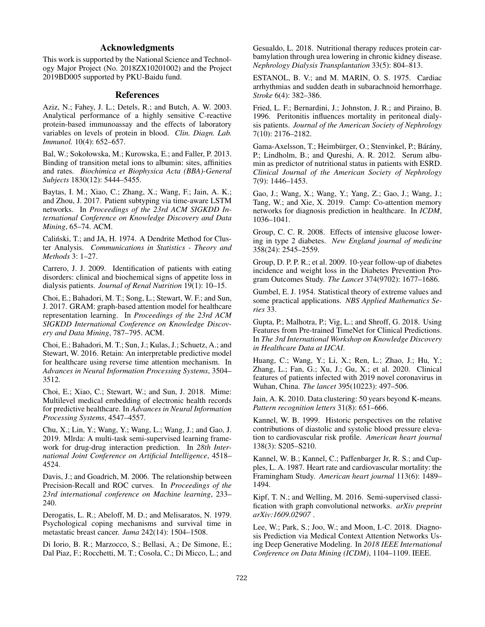# Acknowledgments

This work is supported by the National Science and Technology Major Project (No. 2018ZX10201002) and the Project 2019BD005 supported by PKU-Baidu fund.

# References

Aziz, N.; Fahey, J. L.; Detels, R.; and Butch, A. W. 2003. Analytical performance of a highly sensitive C-reactive protein-based immunoassay and the effects of laboratory variables on levels of protein in blood. *Clin. Diagn. Lab. Immunol.* 10(4): 652–657.

Bal, W.; Sokołowska, M.; Kurowska, E.; and Faller, P. 2013. Binding of transition metal ions to albumin: sites, affinities and rates. *Biochimica et Biophysica Acta (BBA)-General Subjects* 1830(12): 5444–5455.

Baytas, I. M.; Xiao, C.; Zhang, X.; Wang, F.; Jain, A. K.; and Zhou, J. 2017. Patient subtyping via time-aware LSTM networks. In *Proceedings of the 23rd ACM SIGKDD International Conference on Knowledge Discovery and Data Mining*, 65–74. ACM.

Calinski, T.; and JA, H. 1974. A Dendrite Method for Clus- ´ ter Analysis. *Communications in Statistics - Theory and Methods* 3: 1–27.

Carrero, J. J. 2009. Identification of patients with eating disorders: clinical and biochemical signs of appetite loss in dialysis patients. *Journal of Renal Nutrition* 19(1): 10–15.

Choi, E.; Bahadori, M. T.; Song, L.; Stewart, W. F.; and Sun, J. 2017. GRAM: graph-based attention model for healthcare representation learning. In *Proceedings of the 23rd ACM SIGKDD International Conference on Knowledge Discovery and Data Mining*, 787–795. ACM.

Choi, E.; Bahadori, M. T.; Sun, J.; Kulas, J.; Schuetz, A.; and Stewart, W. 2016. Retain: An interpretable predictive model for healthcare using reverse time attention mechanism. In *Advances in Neural Information Processing Systems*, 3504– 3512.

Choi, E.; Xiao, C.; Stewart, W.; and Sun, J. 2018. Mime: Multilevel medical embedding of electronic health records for predictive healthcare. In *Advances in Neural Information Processing Systems*, 4547–4557.

Chu, X.; Lin, Y.; Wang, Y.; Wang, L.; Wang, J.; and Gao, J. 2019. Mlrda: A multi-task semi-supervised learning framework for drug-drug interaction prediction. In *28th International Joint Conference on Artificial Intelligence*, 4518– 4524.

Davis, J.; and Goadrich, M. 2006. The relationship between Precision-Recall and ROC curves. In *Proceedings of the 23rd international conference on Machine learning*, 233– 240.

Derogatis, L. R.; Abeloff, M. D.; and Melisaratos, N. 1979. Psychological coping mechanisms and survival time in metastatic breast cancer. *Jama* 242(14): 1504–1508.

Di Iorio, B. R.; Marzocco, S.; Bellasi, A.; De Simone, E.; Dal Piaz, F.; Rocchetti, M. T.; Cosola, C.; Di Micco, L.; and

Gesualdo, L. 2018. Nutritional therapy reduces protein carbamylation through urea lowering in chronic kidney disease. *Nephrology Dialysis Transplantation* 33(5): 804–813.

ESTANOL, B. V.; and M. MARIN, O. S. 1975. Cardiac arrhythmias and sudden death in subarachnoid hemorrhage. *Stroke* 6(4): 382–386.

Fried, L. F.; Bernardini, J.; Johnston, J. R.; and Piraino, B. 1996. Peritonitis influences mortality in peritoneal dialysis patients. *Journal of the American Society of Nephrology* 7(10): 2176–2182.

Gama-Axelsson, T.; Heimbürger, O.; Stenvinkel, P.; Bárány, P.; Lindholm, B.; and Qureshi, A. R. 2012. Serum albumin as predictor of nutritional status in patients with ESRD. *Clinical Journal of the American Society of Nephrology* 7(9): 1446–1453.

Gao, J.; Wang, X.; Wang, Y.; Yang, Z.; Gao, J.; Wang, J.; Tang, W.; and Xie, X. 2019. Camp: Co-attention memory networks for diagnosis prediction in healthcare. In *ICDM*, 1036–1041.

Group, C. C. R. 2008. Effects of intensive glucose lowering in type 2 diabetes. *New England journal of medicine* 358(24): 2545–2559.

Group, D. P. P. R.; et al. 2009. 10-year follow-up of diabetes incidence and weight loss in the Diabetes Prevention Program Outcomes Study. *The Lancet* 374(9702): 1677–1686.

Gumbel, E. J. 1954. Statistical theory of extreme values and some practical applications. *NBS Applied Mathematics Series* 33.

Gupta, P.; Malhotra, P.; Vig, L.; and Shroff, G. 2018. Using Features from Pre-trained TimeNet for Clinical Predictions. In *The 3rd International Workshop on Knowledge Discovery in Healthcare Data at IJCAI*.

Huang, C.; Wang, Y.; Li, X.; Ren, L.; Zhao, J.; Hu, Y.; Zhang, L.; Fan, G.; Xu, J.; Gu, X.; et al. 2020. Clinical features of patients infected with 2019 novel coronavirus in Wuhan, China. *The lancet* 395(10223): 497–506.

Jain, A. K. 2010. Data clustering: 50 years beyond K-means. *Pattern recognition letters* 31(8): 651–666.

Kannel, W. B. 1999. Historic perspectives on the relative contributions of diastolic and systolic blood pressure elevation to cardiovascular risk profile. *American heart journal* 138(3): S205–S210.

Kannel, W. B.; Kannel, C.; Paffenbarger Jr, R. S.; and Cupples, L. A. 1987. Heart rate and cardiovascular mortality: the Framingham Study. *American heart journal* 113(6): 1489– 1494.

Kipf, T. N.; and Welling, M. 2016. Semi-supervised classification with graph convolutional networks. *arXiv preprint arXiv:1609.02907* .

Lee, W.; Park, S.; Joo, W.; and Moon, I.-C. 2018. Diagnosis Prediction via Medical Context Attention Networks Using Deep Generative Modeling. In *2018 IEEE International Conference on Data Mining (ICDM)*, 1104–1109. IEEE.